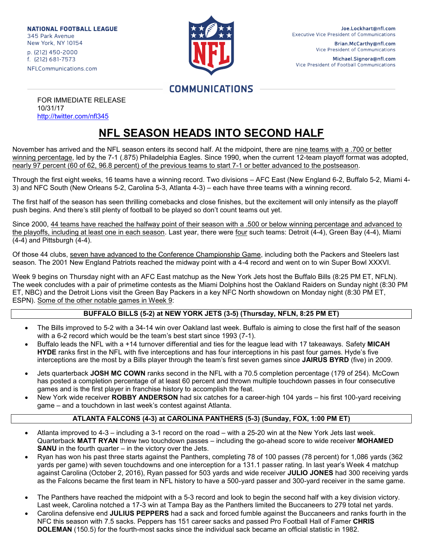**NATIONAL FOOTBALL LEAGUE** 345 Park Avenue New York, NY 10154 p. (212) 450-2000 f. (212) 681-7573 NFLCommunications.com



Brian.McCarthy@nfl.com Vice President of Communications

Michael.Signora@nfl.com Vice President of Football Communications

# **COMMUNICATIONS**

FOR IMMEDIATE RELEASE 10/31/17 <http://twitter.com/nfl345>

# **NFL SEASON HEADS INTO SECOND HALF**

November has arrived and the NFL season enters its second half. At the midpoint, there are nine teams with a .700 or better winning percentage, led by the 7-1 (.875) Philadelphia Eagles. Since 1990, when the current 12-team playoff format was adopted, nearly 97 percent (60 of 62, 96.8 percent) of the previous teams to start 7-1 or better advanced to the postseason.

Through the first eight weeks, 16 teams have a winning record. Two divisions – AFC East (New England 6-2, Buffalo 5-2, Miami 4- 3) and NFC South (New Orleans 5-2, Carolina 5-3, Atlanta 4-3) – each have three teams with a winning record.

The first half of the season has seen thrilling comebacks and close finishes, but the excitement will only intensify as the playoff push begins. And there's still plenty of football to be played so don't count teams out yet.

Since 2000, 44 teams have reached the halfway point of their season with a .500 or below winning percentage and advanced to the playoffs, including at least one in each season. Last year, there were four such teams: Detroit (4-4), Green Bay (4-4), Miami (4-4) and Pittsburgh (4-4).

Of those 44 clubs, seven have advanced to the Conference Championship Game, including both the Packers and Steelers last season. The 2001 New England Patriots reached the midway point with a 4-4 record and went on to win Super Bowl XXXVI.

Week 9 begins on Thursday night with an AFC East matchup as the New York Jets host the Buffalo Bills (8:25 PM ET, NFLN). The week concludes with a pair of primetime contests as the Miami Dolphins host the Oakland Raiders on Sunday night (8:30 PM ET, NBC) and the Detroit Lions visit the Green Bay Packers in a key NFC North showdown on Monday night (8:30 PM ET, ESPN). Some of the other notable games in Week 9:

### **BUFFALO BILLS (5-2) at NEW YORK JETS (3-5) (Thursday, NFLN, 8:25 PM ET)**

- The Bills improved to 5-2 with a 34-14 win over Oakland last week. Buffalo is aiming to close the first half of the season with a 6-2 record which would be the team's best start since 1993 (7-1).
- Buffalo leads the NFL with a +14 turnover differential and ties for the league lead with 17 takeaways. Safety **MICAH HYDE** ranks first in the NFL with five interceptions and has four interceptions in his past four games. Hyde's five interceptions are the most by a Bills player through the team's first seven games since **JAIRUS BYRD** (five) in 2009.
- Jets quarterback **JOSH MC COWN** ranks second in the NFL with a 70.5 completion percentage (179 of 254). McCown has posted a completion percentage of at least 60 percent and thrown multiple touchdown passes in four consecutive games and is the first player in franchise history to accomplish the feat.
- New York wide receiver **ROBBY ANDERSON** had six catches for a career-high 104 yards his first 100-yard receiving game – and a touchdown in last week's contest against Atlanta.

### **ATLANTA FALCONS (4-3) at CAROLINA PANTHERS (5-3) (Sunday, FOX, 1:00 PM ET)**

- Atlanta improved to 4-3 including a 3-1 record on the road with a 25-20 win at the New York Jets last week. Quarterback **MATT RYAN** threw two touchdown passes – including the go-ahead score to wide receiver **MOHAMED SANU** in the fourth quarter – in the victory over the Jets.
- Ryan has won his past three starts against the Panthers, completing 78 of 100 passes (78 percent) for 1,086 yards (362 yards per game) with seven touchdowns and one interception for a 131.1 passer rating. In last year's Week 4 matchup against Carolina (October 2, 2016), Ryan passed for 503 yards and wide receiver **JULIO JONES** had 300 receiving yards as the Falcons became the first team in NFL history to have a 500-yard passer and 300-yard receiver in the same game.
- The Panthers have reached the midpoint with a 5-3 record and look to begin the second half with a key division victory. Last week, Carolina notched a 17-3 win at Tampa Bay as the Panthers limited the Buccaneers to 279 total net yards.
- Carolina defensive end **JULIUS PEPPERS** had a sack and forced fumble against the Buccaneers and ranks fourth in the NFC this season with 7.5 sacks. Peppers has 151 career sacks and passed Pro Football Hall of Famer **CHRIS DOLEMAN** (150.5) for the fourth-most sacks since the individual sack became an official statistic in 1982.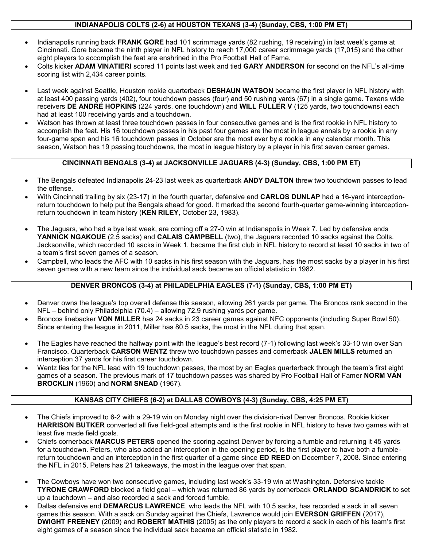### **INDIANAPOLIS COLTS (2-6) at HOUSTON TEXANS (3-4) (Sunday, CBS, 1:00 PM ET)**

- Indianapolis running back **FRANK GORE** had 101 scrimmage yards (82 rushing, 19 receiving) in last week's game at Cincinnati. Gore became the ninth player in NFL history to reach 17,000 career scrimmage yards (17,015) and the other eight players to accomplish the feat are enshrined in the Pro Football Hall of Fame.
- Colts kicker **ADAM VINATIERI** scored 11 points last week and tied **GARY ANDERSON** for second on the NFL's all-time scoring list with 2,434 career points.
- Last week against Seattle, Houston rookie quarterback **DESHAUN WATSON** became the first player in NFL history with at least 400 passing yards (402), four touchdown passes (four) and 50 rushing yards (67) in a single game. Texans wide receivers **DE ANDRE HOPKINS** (224 yards, one touchdown) and **WILL FULLER V** (125 yards, two touchdowns) each had at least 100 receiving yards and a touchdown.
- Watson has thrown at least three touchdown passes in four consecutive games and is the first rookie in NFL history to accomplish the feat. His 16 touchdown passes in his past four games are the most in league annals by a rookie in any four-game span and his 16 touchdown passes in October are the most ever by a rookie in any calendar month. This season, Watson has 19 passing touchdowns, the most in league history by a player in his first seven career games.

#### **CINCINNATI BENGALS (3-4) at JACKSONVILLE JAGUARS (4-3) (Sunday, CBS, 1:00 PM ET)**

- The Bengals defeated Indianapolis 24-23 last week as quarterback **ANDY DALTON** threw two touchdown passes to lead the offense.
- With Cincinnati trailing by six (23-17) in the fourth quarter, defensive end **CARLOS DUNLAP** had a 16-yard interceptionreturn touchdown to help put the Bengals ahead for good. It marked the second fourth-quarter game-winning interceptionreturn touchdown in team history (**KEN RILEY**, October 23, 1983).
- The Jaguars, who had a bye last week, are coming off a 27-0 win at Indianapolis in Week 7. Led by defensive ends **YANNICK NGAKOUE** (2.5 sacks) and **CALAIS CAMPBELL** (two), the Jaguars recorded 10 sacks against the Colts. Jacksonville, which recorded 10 sacks in Week 1, became the first club in NFL history to record at least 10 sacks in two of a team's first seven games of a season.
- Campbell, who leads the AFC with 10 sacks in his first season with the Jaguars, has the most sacks by a player in his first seven games with a new team since the individual sack became an official statistic in 1982.

#### **DENVER BRONCOS (3-4) at PHILADELPHIA EAGLES (7-1) (Sunday, CBS, 1:00 PM ET)**

- Denver owns the league's top overall defense this season, allowing 261 yards per game. The Broncos rank second in the NFL – behind only Philadelphia (70.4) – allowing 72.9 rushing yards per game.
- Broncos linebacker **VON MILLER** has 24 sacks in 23 career games against NFC opponents (including Super Bowl 50). Since entering the league in 2011, Miller has 80.5 sacks, the most in the NFL during that span.
- The Eagles have reached the halfway point with the league's best record (7-1) following last week's 33-10 win over San Francisco. Quarterback **CARSON WENTZ** threw two touchdown passes and cornerback **JALEN MILLS** returned an interception 37 yards for his first career touchdown.
- Wentz ties for the NFL lead with 19 touchdown passes, the most by an Eagles quarterback through the team's first eight games of a season. The previous mark of 17 touchdown passes was shared by Pro Football Hall of Famer **NORM VAN BROCKLIN** (1960) and **NORM SNEAD** (1967).

#### **KANSAS CITY CHIEFS (6-2) at DALLAS COWBOYS (4-3) (Sunday, CBS, 4:25 PM ET)**

- The Chiefs improved to 6-2 with a 29-19 win on Monday night over the division-rival Denver Broncos. Rookie kicker **HARRISON BUTKER** converted all five field-goal attempts and is the first rookie in NFL history to have two games with at least five made field goals.
- Chiefs cornerback **MARCUS PETERS** opened the scoring against Denver by forcing a fumble and returning it 45 yards for a touchdown. Peters, who also added an interception in the opening period, is the first player to have both a fumblereturn touchdown and an interception in the first quarter of a game since **ED REED** on December 7, 2008. Since entering the NFL in 2015, Peters has 21 takeaways, the most in the league over that span.
- The Cowboys have won two consecutive games, including last week's 33-19 win at Washington. Defensive tackle **TYRONE CRAWFORD** blocked a field goal – which was returned 86 yards by cornerback **ORLANDO SCANDRICK** to set up a touchdown – and also recorded a sack and forced fumble.
- Dallas defensive end **DEMARCUS LAWRENCE**, who leads the NFL with 10.5 sacks, has recorded a sack in all seven games this season. With a sack on Sunday against the Chiefs, Lawrence would join **EVERSON GRIFFEN** (2017), **DWIGHT FREENEY** (2009) and **ROBERT MATHIS** (2005) as the only players to record a sack in each of his team's first eight games of a season since the individual sack became an official statistic in 1982.